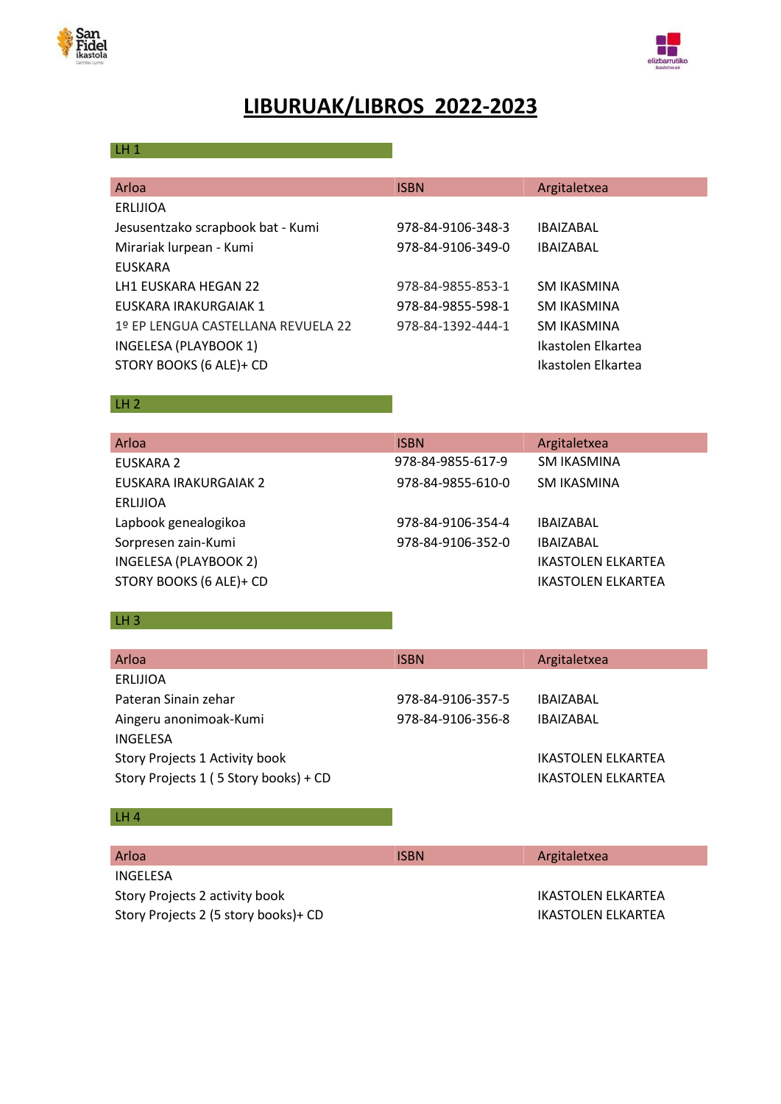



# **LIBURUAK/LIBROS 2022-2023**

## LH  $1$  and  $1$  and  $1$  and  $1$  and  $1$  and  $1$  and  $1$  and  $1$  and  $1$  and  $1$  and  $1$  and  $1$  and  $1$  and  $1$  and  $1$  and  $1$  and  $1$  and  $1$  and  $1$  and  $1$  and  $1$  and  $1$  and  $1$  and  $1$  and  $1$  and  $1$  and  $1$  and  $1$

| Arloa                              | <b>ISBN</b>       | Argitaletxea       |
|------------------------------------|-------------------|--------------------|
| ERLIJIOA                           |                   |                    |
| Jesusentzako scrapbook bat - Kumi  | 978-84-9106-348-3 | <b>IBAIZABAL</b>   |
| Mirariak lurpean - Kumi            | 978-84-9106-349-0 | <b>IBAIZABAL</b>   |
| EUSKARA                            |                   |                    |
| LH1 EUSKARA HEGAN 22               | 978-84-9855-853-1 | SM IKASMINA        |
| EUSKARA IRAKURGAIAK 1              | 978-84-9855-598-1 | SM IKASMINA        |
| 1º EP LENGUA CASTELLANA REVUELA 22 | 978-84-1392-444-1 | SM IKASMINA        |
| INGELESA (PLAYBOOK 1)              |                   | Ikastolen Elkartea |
| STORY BOOKS (6 ALE)+ CD            |                   | Ikastolen Elkartea |
|                                    |                   |                    |

#### LH 2 **LH 2 LH 2 LH** 2

| Arloa                        | <b>ISBN</b>       | Argitaletxea              |
|------------------------------|-------------------|---------------------------|
| EUSKARA 2                    | 978-84-9855-617-9 | <b>SM IKASMINA</b>        |
| EUSKARA IRAKURGAIAK 2        | 978-84-9855-610-0 | SM IKASMINA               |
| ERLIJIOA                     |                   |                           |
| Lapbook genealogikoa         | 978-84-9106-354-4 | IBAIZABAL                 |
| Sorpresen zain-Kumi          | 978-84-9106-352-0 | <b>IBAIZABAL</b>          |
| <b>INGELESA (PLAYBOOK 2)</b> |                   | <b>IKASTOLEN ELKARTEA</b> |
| STORY BOOKS (6 ALE)+ CD      |                   | <b>IKASTOLEN ELKARTEA</b> |

 $LH3$ 

| Arloa                                 | <b>ISBN</b>       | Argitaletxea       |
|---------------------------------------|-------------------|--------------------|
| ERLIJIOA                              |                   |                    |
| Pateran Sinain zehar                  | 978-84-9106-357-5 | <b>IBAIZABAL</b>   |
| Aingeru anonimoak-Kumi                | 978-84-9106-356-8 | <b>IBAIZABAL</b>   |
| INGELESA                              |                   |                    |
| Story Projects 1 Activity book        |                   | IKASTOLEN ELKARTEA |
| Story Projects 1 (5 Story books) + CD |                   | IKASTOLFN FLKARTFA |

## LH 4  $\sim$  100  $\mu$  200  $\mu$  200  $\mu$  200  $\mu$

| Arloa                                | <b>ISBN</b> | Argitaletxea              |
|--------------------------------------|-------------|---------------------------|
| INGFLFSA                             |             |                           |
| Story Projects 2 activity book       |             | <b>IKASTOLEN ELKARTEA</b> |
| Story Projects 2 (5 story books)+ CD |             | <b>IKASTOLEN ELKARTEA</b> |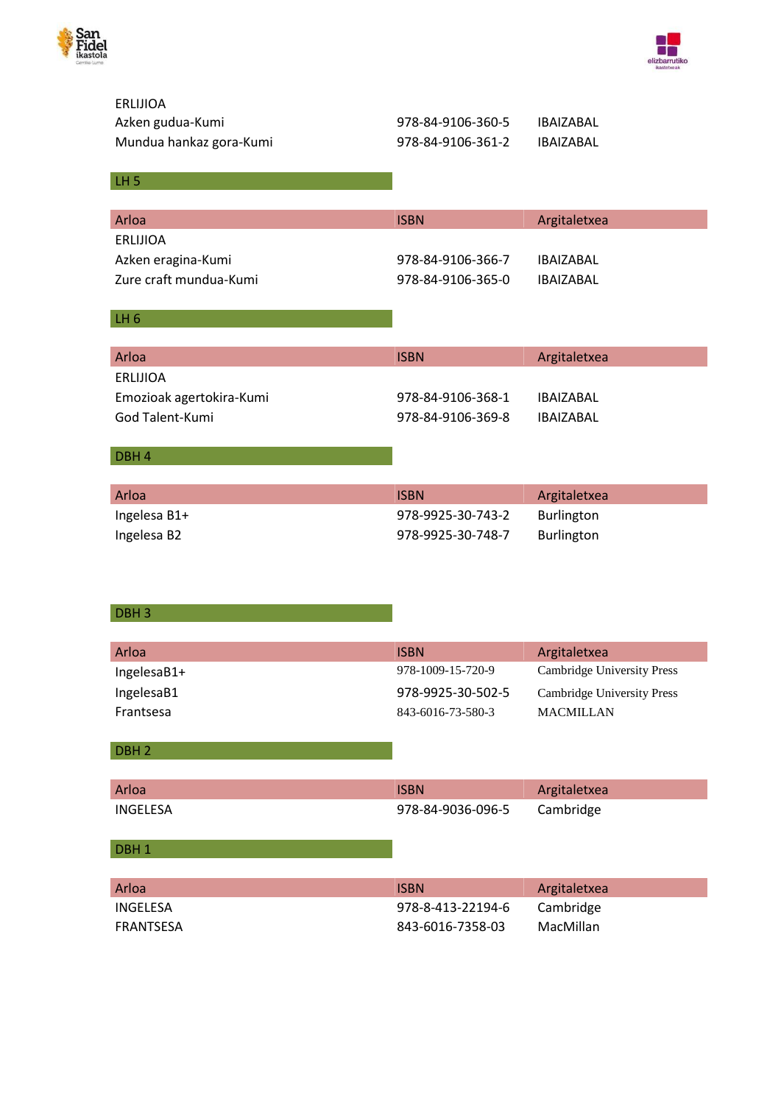



| <b>ERLIJIOA</b><br>Azken gudua-Kumi<br>Mundua hankaz gora-Kumi | 978-84-9106-360-5<br>978-84-9106-361-2 | <b>IBAIZABAL</b><br><b>IBAIZABAL</b>                  |
|----------------------------------------------------------------|----------------------------------------|-------------------------------------------------------|
| LH <sub>5</sub>                                                |                                        |                                                       |
| Arloa                                                          | <b>ISBN</b>                            | Argitaletxea                                          |
| <b>ERLIJIOA</b>                                                |                                        |                                                       |
| Azken eragina-Kumi                                             | 978-84-9106-366-7                      | <b>IBAIZABAL</b>                                      |
| Zure craft mundua-Kumi                                         | 978-84-9106-365-0                      | <b>IBAIZABAL</b>                                      |
| $LH_6$                                                         |                                        |                                                       |
| Arloa                                                          | <b>ISBN</b>                            | Argitaletxea                                          |
| <b>ERLIJIOA</b>                                                |                                        |                                                       |
| Emozioak agertokira-Kumi                                       | 978-84-9106-368-1                      | <b>IBAIZABAL</b>                                      |
| God Talent-Kumi                                                | 978-84-9106-369-8                      | <b>IBAIZABAL</b>                                      |
|                                                                |                                        |                                                       |
| DBH <sub>4</sub>                                               |                                        |                                                       |
| Arloa                                                          | <b>ISBN</b>                            | Argitaletxea                                          |
| Ingelesa B1+                                                   | 978-9925-30-743-2                      | Burlington                                            |
| Ingelesa B2                                                    | 978-9925-30-748-7                      | Burlington                                            |
|                                                                |                                        |                                                       |
|                                                                |                                        |                                                       |
| DBH <sub>3</sub>                                               |                                        |                                                       |
|                                                                |                                        |                                                       |
| Arloa                                                          | <b>ISBN</b>                            | Argitaletxea<br>Cambridge University Press            |
| IngelesaB1+                                                    | 978-1009-15-720-9<br>978-9925-30-502-5 |                                                       |
| IngelesaB1<br>Frantsesa                                        | 843-6016-73-580-3                      | <b>Cambridge University Press</b><br><b>MACMILLAN</b> |
|                                                                |                                        |                                                       |
| DBH <sub>2</sub>                                               |                                        |                                                       |
|                                                                |                                        |                                                       |
| Arloa                                                          | <b>ISBN</b>                            | Argitaletxea                                          |
| <b>INGELESA</b>                                                | 978-84-9036-096-5                      | Cambridge                                             |
| DBH <sub>1</sub>                                               |                                        |                                                       |
|                                                                |                                        |                                                       |
| Arloa                                                          | <b>ISBN</b>                            | Argitaletxea                                          |
| <b>INGELESA</b>                                                | 978-8-413-22194-6                      | Cambridge                                             |
| <b>FRANTSESA</b>                                               | 843-6016-7358-03                       | MacMillan                                             |